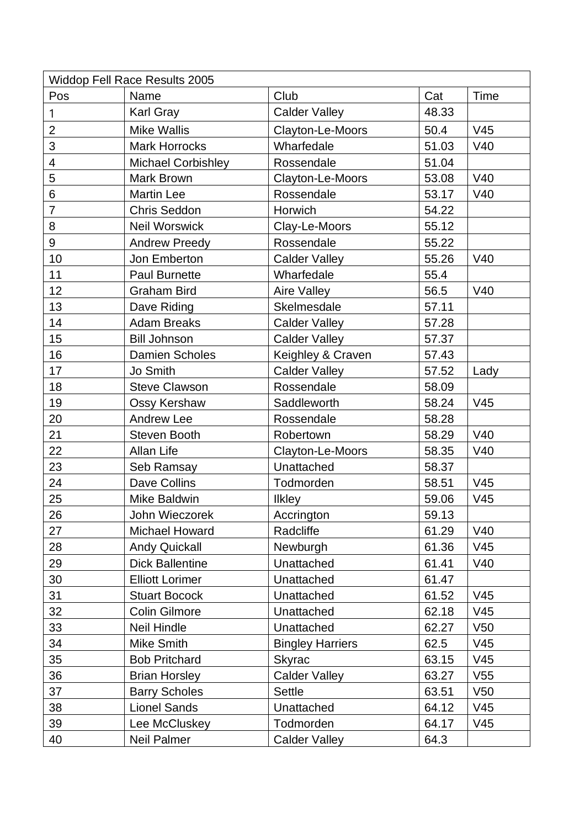| <b>Widdop Fell Race Results 2005</b> |                           |                         |       |                 |  |  |  |
|--------------------------------------|---------------------------|-------------------------|-------|-----------------|--|--|--|
| Pos                                  | Name                      | Club                    | Cat   | Time            |  |  |  |
| $\mathbf{1}$                         | <b>Karl Gray</b>          | <b>Calder Valley</b>    | 48.33 |                 |  |  |  |
| $\overline{2}$                       | <b>Mike Wallis</b>        | Clayton-Le-Moors        | 50.4  | V45             |  |  |  |
| 3                                    | <b>Mark Horrocks</b>      | Wharfedale              | 51.03 | V40             |  |  |  |
| 4                                    | <b>Michael Corbishley</b> | Rossendale              | 51.04 |                 |  |  |  |
| 5                                    | <b>Mark Brown</b>         | Clayton-Le-Moors        | 53.08 | V40             |  |  |  |
| 6                                    | <b>Martin Lee</b>         | Rossendale              | 53.17 | V40             |  |  |  |
| $\overline{7}$                       | <b>Chris Seddon</b>       | Horwich                 | 54.22 |                 |  |  |  |
| 8                                    | <b>Neil Worswick</b>      | Clay-Le-Moors           | 55.12 |                 |  |  |  |
| 9                                    | <b>Andrew Preedy</b>      | Rossendale              | 55.22 |                 |  |  |  |
| 10                                   | Jon Emberton              | <b>Calder Valley</b>    | 55.26 | V40             |  |  |  |
| 11                                   | <b>Paul Burnette</b>      | Wharfedale              | 55.4  |                 |  |  |  |
| 12                                   | <b>Graham Bird</b>        | Aire Valley             | 56.5  | V40             |  |  |  |
| 13                                   | Dave Riding               | Skelmesdale             | 57.11 |                 |  |  |  |
| 14                                   | <b>Adam Breaks</b>        | <b>Calder Valley</b>    | 57.28 |                 |  |  |  |
| 15                                   | <b>Bill Johnson</b>       | <b>Calder Valley</b>    | 57.37 |                 |  |  |  |
| 16                                   | <b>Damien Scholes</b>     | Keighley & Craven       | 57.43 |                 |  |  |  |
| 17                                   | Jo Smith                  | <b>Calder Valley</b>    | 57.52 | Lady            |  |  |  |
| 18                                   | <b>Steve Clawson</b>      | Rossendale              | 58.09 |                 |  |  |  |
| 19                                   | Ossy Kershaw              | Saddleworth             | 58.24 | V <sub>45</sub> |  |  |  |
| 20                                   | <b>Andrew Lee</b>         | Rossendale              | 58.28 |                 |  |  |  |
| 21                                   | Steven Booth              | Robertown               | 58.29 | V40             |  |  |  |
| 22                                   | Allan Life                | Clayton-Le-Moors        | 58.35 | V40             |  |  |  |
| 23                                   | Seb Ramsay                | Unattached              | 58.37 |                 |  |  |  |
| 24                                   | Dave Collins              | Todmorden               | 58.51 | V <sub>45</sub> |  |  |  |
| 25                                   | Mike Baldwin              | <b>Ilkley</b>           | 59.06 | V <sub>45</sub> |  |  |  |
| 26                                   | John Wieczorek            | Accrington              | 59.13 |                 |  |  |  |
| 27                                   | <b>Michael Howard</b>     | Radcliffe               | 61.29 | V40             |  |  |  |
| 28                                   | <b>Andy Quickall</b>      | Newburgh                | 61.36 | V <sub>45</sub> |  |  |  |
| 29                                   | <b>Dick Ballentine</b>    | Unattached              | 61.41 | V40             |  |  |  |
| 30                                   | <b>Elliott Lorimer</b>    | Unattached              | 61.47 |                 |  |  |  |
| 31                                   | <b>Stuart Bocock</b>      | Unattached              | 61.52 | V <sub>45</sub> |  |  |  |
| 32                                   | <b>Colin Gilmore</b>      | Unattached              | 62.18 | V <sub>45</sub> |  |  |  |
| 33                                   | Neil Hindle               | Unattached              | 62.27 | V <sub>50</sub> |  |  |  |
| 34                                   | Mike Smith                | <b>Bingley Harriers</b> | 62.5  | V <sub>45</sub> |  |  |  |
| 35                                   | <b>Bob Pritchard</b>      | <b>Skyrac</b>           | 63.15 | V <sub>45</sub> |  |  |  |
| 36                                   | <b>Brian Horsley</b>      | <b>Calder Valley</b>    | 63.27 | V <sub>55</sub> |  |  |  |
| 37                                   | <b>Barry Scholes</b>      | <b>Settle</b>           | 63.51 | V50             |  |  |  |
| 38                                   | <b>Lionel Sands</b>       | Unattached              | 64.12 | V45             |  |  |  |
| 39                                   | Lee McCluskey             | Todmorden               | 64.17 | V <sub>45</sub> |  |  |  |
| 40                                   | Neil Palmer               | <b>Calder Valley</b>    | 64.3  |                 |  |  |  |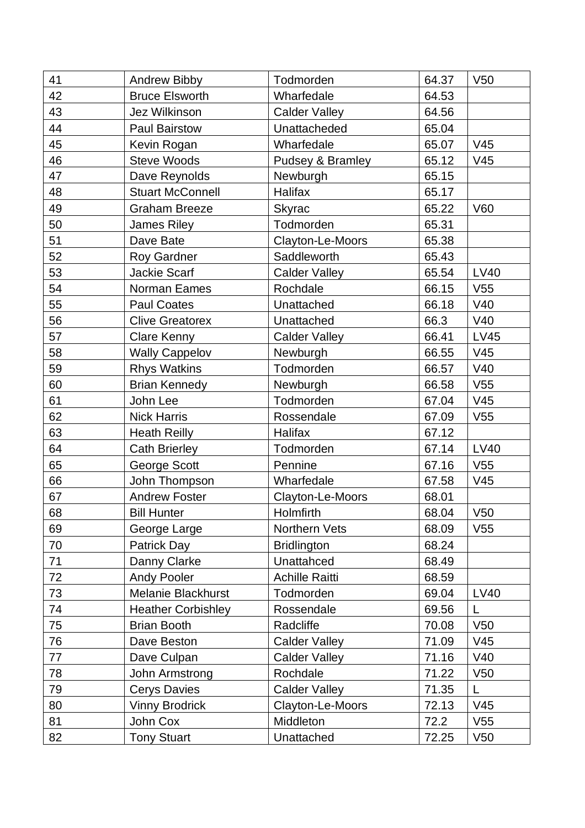| 41 | Andrew Bibby              | Todmorden             | 64.37 | V <sub>50</sub> |
|----|---------------------------|-----------------------|-------|-----------------|
| 42 | <b>Bruce Elsworth</b>     | Wharfedale            | 64.53 |                 |
| 43 | Jez Wilkinson             | <b>Calder Valley</b>  | 64.56 |                 |
| 44 | <b>Paul Bairstow</b>      | Unattacheded          | 65.04 |                 |
| 45 | Kevin Rogan               | Wharfedale            | 65.07 | V <sub>45</sub> |
| 46 | <b>Steve Woods</b>        | Pudsey & Bramley      | 65.12 | V45             |
| 47 | Dave Reynolds             | Newburgh              | 65.15 |                 |
| 48 | <b>Stuart McConnell</b>   | <b>Halifax</b>        | 65.17 |                 |
| 49 | <b>Graham Breeze</b>      | <b>Skyrac</b>         | 65.22 | V60             |
| 50 | <b>James Riley</b>        | Todmorden             | 65.31 |                 |
| 51 | Dave Bate                 | Clayton-Le-Moors      | 65.38 |                 |
| 52 | <b>Roy Gardner</b>        | Saddleworth           | 65.43 |                 |
| 53 | <b>Jackie Scarf</b>       | <b>Calder Valley</b>  | 65.54 | <b>LV40</b>     |
| 54 | Norman Eames              | Rochdale              | 66.15 | V <sub>55</sub> |
| 55 | <b>Paul Coates</b>        | Unattached            | 66.18 | V40             |
| 56 | <b>Clive Greatorex</b>    | Unattached            | 66.3  | V40             |
| 57 | <b>Clare Kenny</b>        | <b>Calder Valley</b>  | 66.41 | LV45            |
| 58 | <b>Wally Cappelov</b>     | Newburgh              | 66.55 | V45             |
| 59 | <b>Rhys Watkins</b>       | Todmorden             | 66.57 | V40             |
| 60 | <b>Brian Kennedy</b>      | Newburgh              | 66.58 | V55             |
| 61 | John Lee                  | Todmorden             | 67.04 | V45             |
| 62 | <b>Nick Harris</b>        | Rossendale            | 67.09 | V <sub>55</sub> |
| 63 | <b>Heath Reilly</b>       | Halifax               | 67.12 |                 |
| 64 | <b>Cath Brierley</b>      | Todmorden             | 67.14 | <b>LV40</b>     |
| 65 | George Scott              | Pennine               | 67.16 | V <sub>55</sub> |
| 66 | John Thompson             | Wharfedale            | 67.58 | V <sub>45</sub> |
| 67 | <b>Andrew Foster</b>      | Clayton-Le-Moors      | 68.01 |                 |
| 68 | <b>Bill Hunter</b>        | Holmfirth             | 68.04 | V50             |
| 69 | George Large              | Northern Vets         | 68.09 | V <sub>55</sub> |
| 70 | Patrick Day               | <b>Bridlington</b>    | 68.24 |                 |
| 71 | Danny Clarke              | Unattahced            | 68.49 |                 |
| 72 | <b>Andy Pooler</b>        | <b>Achille Raitti</b> | 68.59 |                 |
| 73 | Melanie Blackhurst        | Todmorden             | 69.04 | LV40            |
| 74 | <b>Heather Corbishley</b> | Rossendale            | 69.56 | L               |
| 75 | <b>Brian Booth</b>        | Radcliffe             | 70.08 | V50             |
| 76 | Dave Beston               | <b>Calder Valley</b>  | 71.09 | V <sub>45</sub> |
| 77 | Dave Culpan               | <b>Calder Valley</b>  | 71.16 | V40             |
| 78 | John Armstrong            | Rochdale              | 71.22 | V <sub>50</sub> |
| 79 | <b>Cerys Davies</b>       | <b>Calder Valley</b>  | 71.35 | L               |
| 80 | <b>Vinny Brodrick</b>     | Clayton-Le-Moors      | 72.13 | V45             |
| 81 | John Cox                  | Middleton             | 72.2  | V <sub>55</sub> |
| 82 | <b>Tony Stuart</b>        | Unattached            | 72.25 | V50             |